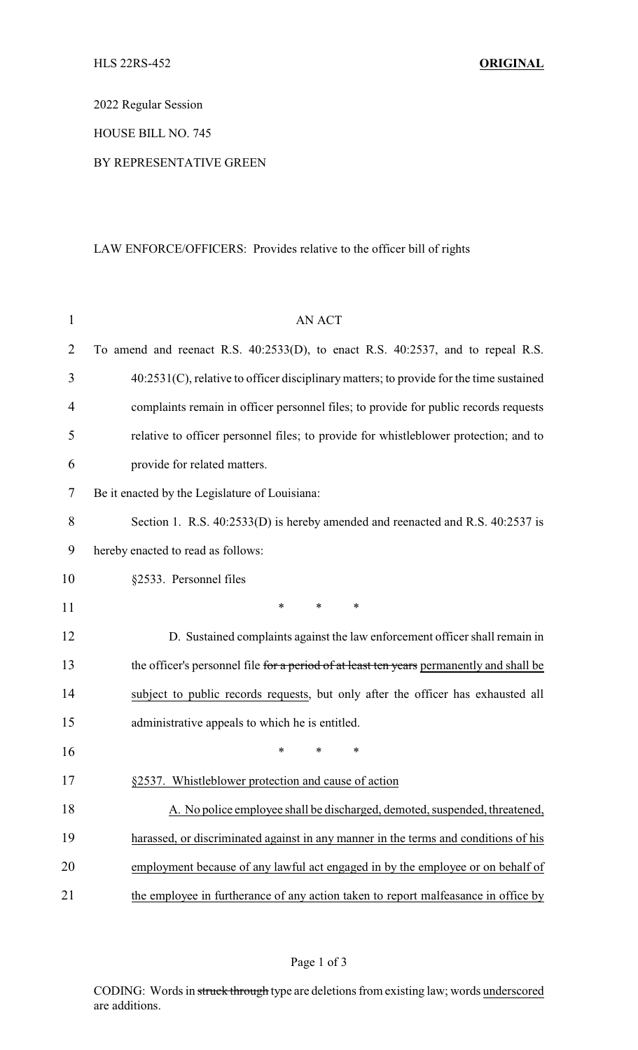2022 Regular Session

HOUSE BILL NO. 745

## BY REPRESENTATIVE GREEN

## LAW ENFORCE/OFFICERS: Provides relative to the officer bill of rights

| $\mathbf{1}$   | <b>AN ACT</b>                                                                            |  |  |  |  |
|----------------|------------------------------------------------------------------------------------------|--|--|--|--|
| $\overline{2}$ | To amend and reenact R.S. 40:2533(D), to enact R.S. 40:2537, and to repeal R.S.          |  |  |  |  |
| 3              | 40:2531(C), relative to officer disciplinary matters; to provide for the time sustained  |  |  |  |  |
| $\overline{4}$ | complaints remain in officer personnel files; to provide for public records requests     |  |  |  |  |
| 5              | relative to officer personnel files; to provide for whistleblower protection; and to     |  |  |  |  |
| 6              | provide for related matters.                                                             |  |  |  |  |
| 7              | Be it enacted by the Legislature of Louisiana:                                           |  |  |  |  |
| 8              | Section 1. R.S. 40:2533(D) is hereby amended and reenacted and R.S. 40:2537 is           |  |  |  |  |
| 9              | hereby enacted to read as follows:                                                       |  |  |  |  |
| 10             | §2533. Personnel files                                                                   |  |  |  |  |
| 11             | $\ast$<br>*<br>*                                                                         |  |  |  |  |
| 12             | D. Sustained complaints against the law enforcement officer shall remain in              |  |  |  |  |
| 13             | the officer's personnel file for a period of at least ten years permanently and shall be |  |  |  |  |
| 14             | subject to public records requests, but only after the officer has exhausted all         |  |  |  |  |
| 15             | administrative appeals to which he is entitled.                                          |  |  |  |  |
| 16             | *<br>*<br>*                                                                              |  |  |  |  |
| 17             | §2537. Whistleblower protection and cause of action                                      |  |  |  |  |
| 18             | A. No police employee shall be discharged, demoted, suspended, threatened,               |  |  |  |  |
| 19             | harassed, or discriminated against in any manner in the terms and conditions of his      |  |  |  |  |
| 20             | employment because of any lawful act engaged in by the employee or on behalf of          |  |  |  |  |
| 21             | the employee in furtherance of any action taken to report malfeasance in office by       |  |  |  |  |

CODING: Words in struck through type are deletions from existing law; words underscored are additions.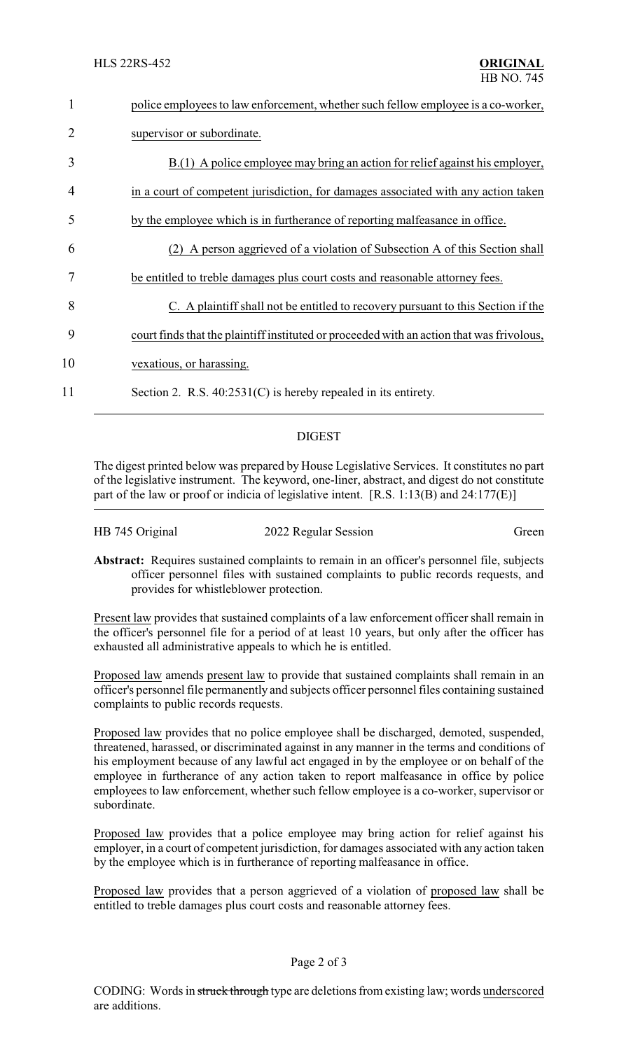| 1              | police employees to law enforcement, whether such fellow employee is a co-worker,         |
|----------------|-------------------------------------------------------------------------------------------|
| $\overline{2}$ | supervisor or subordinate.                                                                |
| 3              | $B(1)$ A police employee may bring an action for relief against his employer,             |
| 4              | in a court of competent jurisdiction, for damages associated with any action taken        |
| 5              | by the employee which is in furtherance of reporting malfeasance in office.               |
| 6              | A person aggrieved of a violation of Subsection A of this Section shall                   |
|                | be entitled to treble damages plus court costs and reasonable attorney fees.              |
| 8              | C. A plaintiff shall not be entitled to recovery pursuant to this Section if the          |
| 9              | court finds that the plaint of instituted or proceeded with an action that was frivolous, |
| 10             | vexatious, or harassing.                                                                  |
| 11             | Section 2. R.S. $40:2531(C)$ is hereby repealed in its entirety.                          |

## DIGEST

The digest printed below was prepared by House Legislative Services. It constitutes no part of the legislative instrument. The keyword, one-liner, abstract, and digest do not constitute part of the law or proof or indicia of legislative intent. [R.S. 1:13(B) and 24:177(E)]

|                                                                                   | <b>Abstract:</b> Requires sustained complaints to remain in an officer's personnel file, subjects |  |  |  |  |
|-----------------------------------------------------------------------------------|---------------------------------------------------------------------------------------------------|--|--|--|--|
| officer personnel files with sustained complaints to public records requests, and |                                                                                                   |  |  |  |  |
|                                                                                   | provides for whistleblower protection.                                                            |  |  |  |  |

HB 745 Original 2022 Regular Session Green

Present law provides that sustained complaints of a law enforcement officer shall remain in the officer's personnel file for a period of at least 10 years, but only after the officer has exhausted all administrative appeals to which he is entitled.

Proposed law amends present law to provide that sustained complaints shall remain in an officer's personnel file permanently and subjects officer personnel files containing sustained complaints to public records requests.

Proposed law provides that no police employee shall be discharged, demoted, suspended, threatened, harassed, or discriminated against in any manner in the terms and conditions of his employment because of any lawful act engaged in by the employee or on behalf of the employee in furtherance of any action taken to report malfeasance in office by police employees to law enforcement, whether such fellow employee is a co-worker, supervisor or subordinate.

Proposed law provides that a police employee may bring action for relief against his employer, in a court of competent jurisdiction, for damages associated with any action taken by the employee which is in furtherance of reporting malfeasance in office.

Proposed law provides that a person aggrieved of a violation of proposed law shall be entitled to treble damages plus court costs and reasonable attorney fees.

## Page 2 of 3